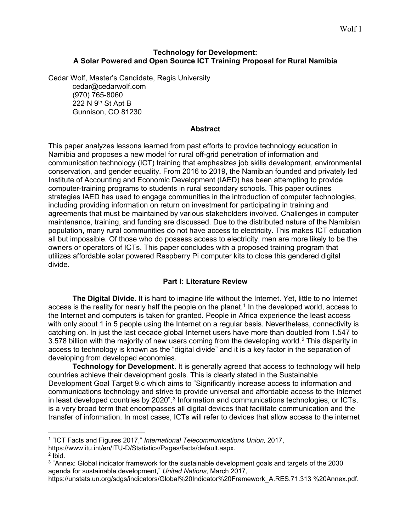### **Technology for Development: A Solar Powered and Open Source ICT Training Proposal for Rural Namibia**

Cedar Wolf, Master's Candidate, Regis University cedar@cedarwolf.com (970) 765-8060 222 N 9<sup>th</sup> St Apt B Gunnison, CO 81230

### **Abstract**

This paper analyzes lessons learned from past efforts to provide technology education in Namibia and proposes a new model for rural off-grid penetration of information and communication technology (ICT) training that emphasizes job skills development, environmental conservation, and gender equality. From 2016 to 2019, the Namibian founded and privately led Institute of Accounting and Economic Development (IAED) has been attempting to provide computer-training programs to students in rural secondary schools. This paper outlines strategies IAED has used to engage communities in the introduction of computer technologies, including providing information on return on investment for participating in training and agreements that must be maintained by various stakeholders involved. Challenges in computer maintenance, training, and funding are discussed. Due to the distributed nature of the Namibian population, many rural communities do not have access to electricity. This makes ICT education all but impossible. Of those who do possess access to electricity, men are more likely to be the owners or operators of ICTs. This paper concludes with a proposed training program that utilizes affordable solar powered Raspberry Pi computer kits to close this gendered digital divide.

# **Part I: Literature Review**

**The Digital Divide.** It is hard to imagine life without the Internet. Yet, little to no Internet access is the reality for nearly half the people on the planet.<sup>[1](#page-0-0)</sup> In the developed world, access to the Internet and computers is taken for granted. People in Africa experience the least access with only about 1 in 5 people using the Internet on a regular basis. Nevertheless, connectivity is catching on. In just the last decade global Internet users have more than doubled from 1.547 to 3.578 billion with the majority of new users coming from the developing world.<sup>[2](#page-0-1)</sup> This disparity in access to technology is known as the "digital divide" and it is a key factor in the separation of developing from developed economies.

**Technology for Development.** It is generally agreed that access to technology will help countries achieve their development goals. This is clearly stated in the Sustainable Development Goal Target 9.c which aims to "Significantly increase access to information and communications technology and strive to provide universal and affordable access to the Internet in least developed countries by 2020".<sup>[3](#page-0-2)</sup> Information and communications technologies, or ICTs, is a very broad term that encompasses all digital devices that facilitate communication and the transfer of information. In most cases, ICTs will refer to devices that allow access to the internet

<span id="page-0-0"></span> $\overline{a}$ <sup>1</sup> "ICT Facts and Figures 2017," *International Telecommunications Union,* 2017, https://www.itu.int/en/ITU-D/Statistics/Pages/facts/default.aspx.

<span id="page-0-1"></span> $2$  Ibid.

<span id="page-0-2"></span><sup>&</sup>lt;sup>3</sup> "Annex: Global indicator framework for the sustainable development goals and targets of the 2030 agenda for sustainable development," *United Nations,* March 2017,

https://unstats.un.org/sdgs/indicators/Global%20Indicator%20Framework\_A.RES.71.313 %20Annex.pdf.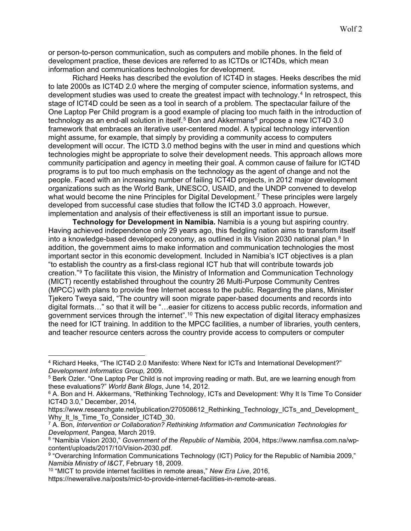or person-to-person communication, such as computers and mobile phones. In the field of development practice, these devices are referred to as ICTDs or ICT4Ds, which mean information and communications technologies for development.

Richard Heeks has described the evolution of ICT4D in stages. Heeks describes the mid to late 2000s as ICT4D 2.0 where the merging of computer science, information systems, and development studies was used to create the greatest impact with technology.[4](#page-1-0) In retrospect, this stage of ICT4D could be seen as a tool in search of a problem. The spectacular failure of the One Laptop Per Child program is a good example of placing too much faith in the introduction of technology as an end-all solution in itself.<sup>[5](#page-1-1)</sup> Bon and Akkermans<sup>[6](#page-1-2)</sup> propose a new ICT4D 3.0 framework that embraces an iterative user-centered model. A typical technology intervention might assume, for example, that simply by providing a community access to computers development will occur. The ICTD 3.0 method begins with the user in mind and questions which technologies might be appropriate to solve their development needs. This approach allows more community participation and agency in meeting their goal. A common cause of failure for ICT4D programs is to put too much emphasis on the technology as the agent of change and not the people. Faced with an increasing number of failing ICT4D projects, in 2012 major development organizations such as the World Bank, UNESCO, USAID, and the UNDP convened to develop what would become the nine Principles for Digital Development.<sup>[7](#page-1-3)</sup> These principles were largely developed from successful case studies that follow the ICT4D 3.0 approach. However, implementation and analysis of their effectiveness is still an important issue to pursue.

**Technology for Development in Namibia.** Namibia is a young but aspiring country. Having achieved independence only 29 years ago, this fledgling nation aims to transform itself into a knowledge-based developed economy, as outlined in its Vision 2030 national plan.<sup>[8](#page-1-4)</sup> In addition, the government aims to make information and communication technologies the most important sector in this economic development. Included in Namibia's ICT objectives is a plan "to establish the country as a first-class regional ICT hub that will contribute towards job creation."[9](#page-1-5) To facilitate this vision, the Ministry of Information and Communication Technology (MICT) recently established throughout the country 26 Multi-Purpose Community Centres (MPCC) with plans to provide free Internet access to the public. Regarding the plans, Minister Tjekero Tweya said, "The country will soon migrate paper-based documents and records into digital formats…" so that it will be "…easier for citizens to access public records, information and government services through the internet".[10](#page-1-6) This new expectation of digital literacy emphasizes the need for ICT training. In addition to the MPCC facilities, a number of libraries, youth centers, and teacher resource centers across the country provide access to computers or computer

 $\overline{a}$ 

<span id="page-1-0"></span><sup>4</sup> Richard Heeks, "The ICT4D 2.0 Manifesto: Where Next for ICTs and International Development?" *Development Informatics Group,* 2009.

<span id="page-1-1"></span><sup>5</sup> Berk Ozler. "One Laptop Per Child is not improving reading or math. But, are we learning enough from these evaluations?" *World Bank Blogs*, June 14, 2012.

<span id="page-1-2"></span><sup>&</sup>lt;sup>6</sup> A. Bon and H. Akkermans, "Rethinking Technology, ICTs and Development: Why It Is Time To Consider ICT4D 3.0," December, 2014,

https://www.researchgate.net/publication/270508612\_Rethinking\_Technology\_ICTs\_and\_Development\_ Why It Is Time To Consider ICT4D 30.

<span id="page-1-3"></span><sup>7</sup> A. Bon, *Intervention or Collaboration? Rethinking Information and Communication Technologies for Development*, Pangea, March 2019.

<span id="page-1-4"></span><sup>8</sup> "Namibia Vision 2030," *Government of the Republic of Namibia,* 2004, https://www.namfisa.com.na/wpcontent/uploads/2017/10/Vision-2030.pdf.

<span id="page-1-5"></span><sup>9</sup> "Overarching Information Communications Technology (ICT) Policy for the Republic of Namibia 2009," *Namibia Ministry of I&CT*, February 18, 2009.

<span id="page-1-6"></span><sup>10</sup> "MICT to provide internet facilities in remote areas," *New Era Live*, 2016,

https://neweralive.na/posts/mict-to-provide-internet-facilities-in-remote-areas.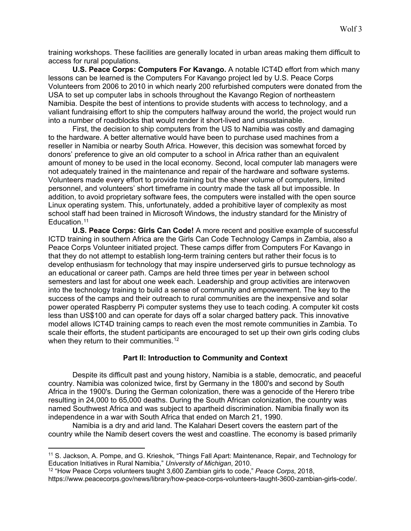training workshops. These facilities are generally located in urban areas making them difficult to access for rural populations.

**U.S. Peace Corps: Computers For Kavango.** A notable ICT4D effort from which many lessons can be learned is the Computers For Kavango project led by U.S. Peace Corps Volunteers from 2006 to 2010 in which nearly 200 refurbished computers were donated from the USA to set up computer labs in schools throughout the Kavango Region of northeastern Namibia. Despite the best of intentions to provide students with access to technology, and a valiant fundraising effort to ship the computers halfway around the world, the project would run into a number of roadblocks that would render it short-lived and unsustainable.

First, the decision to ship computers from the US to Namibia was costly and damaging to the hardware. A better alternative would have been to purchase used machines from a reseller in Namibia or nearby South Africa. However, this decision was somewhat forced by donors' preference to give an old computer to a school in Africa rather than an equivalent amount of money to be used in the local economy. Second, local computer lab managers were not adequately trained in the maintenance and repair of the hardware and software systems. Volunteers made every effort to provide training but the sheer volume of computers, limited personnel, and volunteers' short timeframe in country made the task all but impossible. In addition, to avoid proprietary software fees, the computers were installed with the open source Linux operating system. This, unfortunately, added a prohibitive layer of complexity as most school staff had been trained in Microsoft Windows, the industry standard for the Ministry of Education.<sup>[11](#page-2-0)</sup>

**U.S. Peace Corps: Girls Can Code!** A more recent and positive example of successful ICTD training in southern Africa are the Girls Can Code Technology Camps in Zambia, also a Peace Corps Volunteer initiated project. These camps differ from Computers For Kavango in that they do not attempt to establish long-term training centers but rather their focus is to develop enthusiasm for technology that may inspire underserved girls to pursue technology as an educational or career path. Camps are held three times per year in between school semesters and last for about one week each. Leadership and group activities are interwoven into the technology training to build a sense of community and empowerment. The key to the success of the camps and their outreach to rural communities are the inexpensive and solar power operated Raspberry Pi computer systems they use to teach coding. A computer kit costs less than US\$100 and can operate for days off a solar charged battery pack. This innovative model allows ICT4D training camps to reach even the most remote communities in Zambia. To scale their efforts, the student participants are encouraged to set up their own girls coding clubs when they return to their communities.<sup>[12](#page-2-1)</sup>

#### **Part II: Introduction to Community and Context**

Despite its difficult past and young history, Namibia is a stable, democratic, and peaceful country. Namibia was colonized twice, first by Germany in the 1800's and second by South Africa in the 1900's. During the German colonization, there was a genocide of the Herero tribe resulting in 24,000 to 65,000 deaths. During the South African colonization, the country was named Southwest Africa and was subject to apartheid discrimination. Namibia finally won its independence in a war with South Africa that ended on March 21, 1990.

Namibia is a dry and arid land. The Kalahari Desert covers the eastern part of the country while the Namib desert covers the west and coastline. The economy is based primarily

 $\overline{a}$ 

https://www.peacecorps.gov/news/library/how-peace-corps-volunteers-taught-3600-zambian-girls-code/.

<span id="page-2-0"></span><sup>11</sup> S. Jackson, A. Pompe, and G. Krieshok, "Things Fall Apart: Maintenance, Repair, and Technology for Education Initiatives in Rural Namibia," *University of Michigan*, 2010.

<span id="page-2-1"></span><sup>12</sup> "How Peace Corps volunteers taught 3,600 Zambian girls to code," *Peace Corps*, 2018,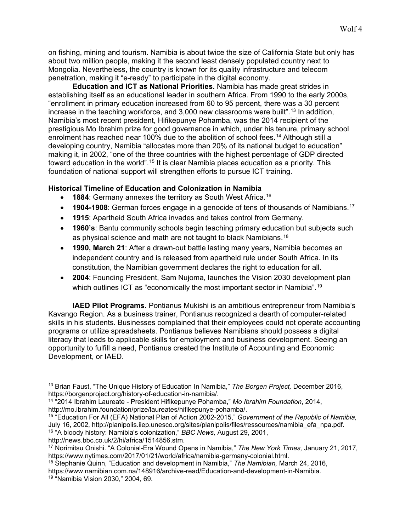on fishing, mining and tourism. Namibia is about twice the size of California State but only has about two million people, making it the second least densely populated country next to Mongolia. Nevertheless, the country is known for its quality infrastructure and telecom penetration, making it "e-ready" to participate in the digital economy.

**Education and ICT as National Priorities.** Namibia has made great strides in establishing itself as an educational leader in southern Africa. From 1990 to the early 2000s, "enrollment in primary education increased from 60 to 95 percent, there was a 30 percent increase in the teaching workforce, and 3,000 new classrooms were built".<sup>[13](#page-3-0)</sup> In addition, Namibia's most recent president, Hifikepunye Pohamba, was the 2014 recipient of the prestigious Mo Ibrahim prize for good governance in which, under his tenure, primary school enrolment has reached near 100% due to the abolition of school fees.<sup>[14](#page-3-1)</sup> Although still a developing country, Namibia "allocates more than 20% of its national budget to education" making it, in 2002, "one of the three countries with the highest percentage of GDP directed toward education in the world".<sup>[15](#page-3-2)</sup> It is clear Namibia places education as a priority. This foundation of national support will strengthen efforts to pursue ICT training.

#### **Historical Timeline of Education and Colonization in Namibia**

- **1884**: Germany annexes the territory as South West Africa.<sup>[16](#page-3-3)</sup>
- **1904-1908**: German forces engage in a genocide of tens of thousands of Namibians.<sup>[17](#page-3-4)</sup>
- **1915**: Apartheid South Africa invades and takes control from Germany.
- **1960's**: Bantu community schools begin teaching primary education but subjects such as physical science and math are not taught to black Namibians.[18](#page-3-5)
- **1990, March 21**: After a drawn-out battle lasting many years, Namibia becomes an independent country and is released from apartheid rule under South Africa. In its constitution, the Namibian government declares the right to education for all.
- **2004**: Founding President, Sam Nujoma, launches the Vision 2030 development plan which outlines ICT as "economically the most important sector in Namibia".<sup>[19](#page-3-6)</sup>

**IAED Pilot Programs.** Pontianus Mukishi is an ambitious entrepreneur from Namibia's Kavango Region. As a business trainer, Pontianus recognized a dearth of computer-related skills in his students. Businesses complained that their employees could not operate accounting programs or utilize spreadsheets. Pontianus believes Namibians should possess a digital literacy that leads to applicable skills for employment and business development. Seeing an opportunity to fulfill a need, Pontianus created the Institute of Accounting and Economic Development, or IAED.

<span id="page-3-0"></span> $\overline{a}$ <sup>13</sup> Brian Faust, "The Unique History of Education In Namibia," *The Borgen Project,* December 2016, https://borgenproject.org/history-of-education-in-namibia/.

<span id="page-3-1"></span><sup>14</sup> "2014 Ibrahim Laureate - President Hifikepunye Pohamba," *Mo Ibrahim Foundation*, 2014, http://mo.ibrahim.foundation/prize/laureates/hifikepunye-pohamba/.

<span id="page-3-2"></span><sup>15</sup> "Education For All (EFA) National Plan of Action 2002-2015," *Government of the Republic of Namibia,*  July 16, 2002, http://planipolis.iiep.unesco.org/sites/planipolis/files/ressources/namibia\_efa\_npa.pdf. <sup>16</sup> "A bloody history: Namibia's colonization," *BBC News,* August 29, 2001, http://news.bbc.co.uk/2/hi/africa/1514856.stm.

<span id="page-3-4"></span><span id="page-3-3"></span><sup>17</sup> Norimitsu Onishi. "A Colonial-Era Wound Opens in Namibia," *The New York Times,* January 21, 2017*,* https://www.nytimes.com/2017/01/21/world/africa/namibia-germany-colonial.html.

<span id="page-3-5"></span><sup>18</sup> Stephanie Quinn, "Education and development in Namibia," *The Namibian,* March 24, 2016, https://www.namibian.com.na/148916/archive-read/Education-and-development-in-Namibia.

<span id="page-3-6"></span><sup>19</sup> "Namibia Vision 2030," 2004, 69.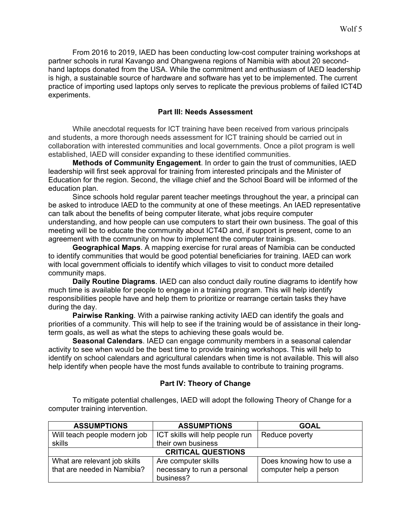From 2016 to 2019, IAED has been conducting low-cost computer training workshops at partner schools in rural Kavango and Ohangwena regions of Namibia with about 20 secondhand laptops donated from the USA. While the commitment and enthusiasm of IAED leadership is high, a sustainable source of hardware and software has yet to be implemented. The current practice of importing used laptops only serves to replicate the previous problems of failed ICT4D experiments.

### **Part III: Needs Assessment**

While anecdotal requests for ICT training have been received from various principals and students, a more thorough needs assessment for ICT training should be carried out in collaboration with interested communities and local governments. Once a pilot program is well established, IAED will consider expanding to these identified communities.

**Methods of Community Engagement**. In order to gain the trust of communities, IAED leadership will first seek approval for training from interested principals and the Minister of Education for the region. Second, the village chief and the School Board will be informed of the education plan.

Since schools hold regular parent teacher meetings throughout the year, a principal can be asked to introduce IAED to the community at one of these meetings. An IAED representative can talk about the benefits of being computer literate, what jobs require computer understanding, and how people can use computers to start their own business. The goal of this meeting will be to educate the community about ICT4D and, if support is present, come to an agreement with the community on how to implement the computer trainings.

**Geographical Maps**. A mapping exercise for rural areas of Namibia can be conducted to identify communities that would be good potential beneficiaries for training. IAED can work with local government officials to identify which villages to visit to conduct more detailed community maps.

**Daily Routine Diagrams**. IAED can also conduct daily routine diagrams to identify how much time is available for people to engage in a training program. This will help identify responsibilities people have and help them to prioritize or rearrange certain tasks they have during the day.

**Pairwise Ranking**. With a pairwise ranking activity IAED can identify the goals and priorities of a community. This will help to see if the training would be of assistance in their longterm goals, as well as what the steps to achieving these goals would be.

**Seasonal Calendars**. IAED can engage community members in a seasonal calendar activity to see when would be the best time to provide training workshops. This will help to identify on school calendars and agricultural calendars when time is not available. This will also help identify when people have the most funds available to contribute to training programs.

# **Part IV: Theory of Change**

To mitigate potential challenges, IAED will adopt the following Theory of Change for a computer training intervention.

| <b>ASSUMPTIONS</b>           | <b>ASSUMPTIONS</b>              | <b>GOAL</b>            |  |  |  |
|------------------------------|---------------------------------|------------------------|--|--|--|
| Will teach people modern job | ICT skills will help people run | Reduce poverty         |  |  |  |
| skills                       | their own business              |                        |  |  |  |
| <b>CRITICAL QUESTIONS</b>    |                                 |                        |  |  |  |
| What are relevant job skills | Does knowing how to use a       |                        |  |  |  |
| that are needed in Namibia?  | necessary to run a personal     | computer help a person |  |  |  |
|                              | business?                       |                        |  |  |  |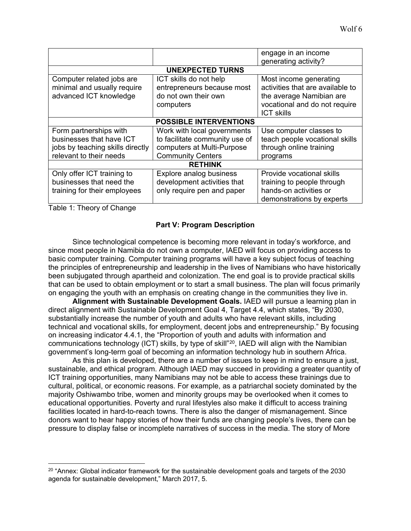|                                                                                                                   |                                                                                                                         | engage in an income<br>generating activity?                                                                                                  |  |  |  |
|-------------------------------------------------------------------------------------------------------------------|-------------------------------------------------------------------------------------------------------------------------|----------------------------------------------------------------------------------------------------------------------------------------------|--|--|--|
| <b>UNEXPECTED TURNS</b>                                                                                           |                                                                                                                         |                                                                                                                                              |  |  |  |
| Computer related jobs are<br>minimal and usually require<br>advanced ICT knowledge                                | ICT skills do not help<br>entrepreneurs because most<br>do not own their own<br>computers                               | Most income generating<br>activities that are available to<br>the average Namibian are<br>vocational and do not require<br><b>ICT skills</b> |  |  |  |
|                                                                                                                   | <b>POSSIBLE INTERVENTIONS</b>                                                                                           |                                                                                                                                              |  |  |  |
| Form partnerships with<br>businesses that have ICT<br>jobs by teaching skills directly<br>relevant to their needs | Work with local governments<br>to facilitate community use of<br>computers at Multi-Purpose<br><b>Community Centers</b> | Use computer classes to<br>teach people vocational skills<br>through online training<br>programs                                             |  |  |  |
|                                                                                                                   | <b>RETHINK</b>                                                                                                          |                                                                                                                                              |  |  |  |
| Only offer ICT training to<br>businesses that need the<br>training for their employees                            | Explore analog business<br>development activities that<br>only require pen and paper                                    | Provide vocational skills<br>training to people through<br>hands-on activities or<br>demonstrations by experts                               |  |  |  |

Table 1: Theory of Change

 $\overline{a}$ 

# **Part V: Program Description**

Since technological competence is becoming more relevant in today's workforce, and since most people in Namibia do not own a computer, IAED will focus on providing access to basic computer training. Computer training programs will have a key subject focus of teaching the principles of entrepreneurship and leadership in the lives of Namibians who have historically been subjugated through apartheid and colonization. The end goal is to provide practical skills that can be used to obtain employment or to start a small business. The plan will focus primarily on engaging the youth with an emphasis on creating change in the communities they live in.

**Alignment with Sustainable Development Goals.** IAED will pursue a learning plan in direct alignment with Sustainable Development Goal 4, Target 4.4, which states, "By 2030, substantially increase the number of youth and adults who have relevant skills, including technical and vocational skills, for employment, decent jobs and entrepreneurship." By focusing on increasing indicator 4.4.1, the "Proportion of youth and adults with information and communications technology (ICT) skills, by type of skill"<sup>20</sup>, IAED will align with the Namibian government's long-term goal of becoming an information technology hub in southern Africa.

As this plan is developed, there are a number of issues to keep in mind to ensure a just, sustainable, and ethical program. Although IAED may succeed in providing a greater quantity of ICT training opportunities, many Namibians may not be able to access these trainings due to cultural, political, or economic reasons. For example, as a patriarchal society dominated by the majority Oshiwambo tribe, women and minority groups may be overlooked when it comes to educational opportunities. Poverty and rural lifestyles also make it difficult to access training facilities located in hard-to-reach towns. There is also the danger of mismanagement. Since donors want to hear happy stories of how their funds are changing people's lives, there can be pressure to display false or incomplete narratives of success in the media. The story of More

<span id="page-5-0"></span> $20$  "Annex: Global indicator framework for the sustainable development goals and targets of the 2030 agenda for sustainable development," March 2017, 5.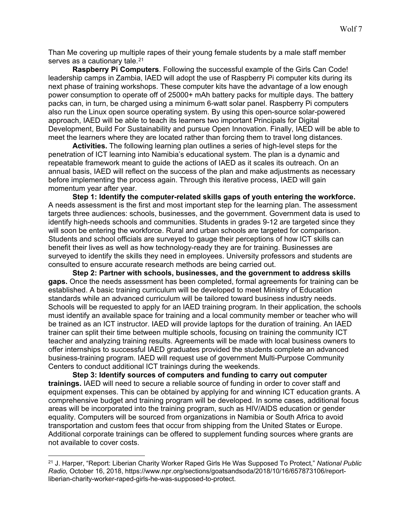Than Me covering up multiple rapes of their young female students by a male staff member serves as a cautionary tale.<sup>[21](#page-6-0)</sup>

**Raspberry Pi Computers**. Following the successful example of the Girls Can Code! leadership camps in Zambia, IAED will adopt the use of Raspberry Pi computer kits during its next phase of training workshops. These computer kits have the advantage of a low enough power consumption to operate off of 25000+ mAh battery packs for multiple days. The battery packs can, in turn, be charged using a minimum 6-watt solar panel. Raspberry Pi computers also run the Linux open source operating system. By using this open-source solar-powered approach, IAED will be able to teach its learners two important Principals for Digital Development, Build For Sustainability and pursue Open Innovation. Finally, IAED will be able to meet the learners where they are located rather than forcing them to travel long distances.

**Activities.** The following learning plan outlines a series of high-level steps for the penetration of ICT learning into Namibia's educational system. The plan is a dynamic and repeatable framework meant to guide the actions of IAED as it scales its outreach. On an annual basis, IAED will reflect on the success of the plan and make adjustments as necessary before implementing the process again. Through this iterative process, IAED will gain momentum year after year.

**Step 1: Identify the computer-related skills gaps of youth entering the workforce.**  A needs assessment is the first and most important step for the learning plan. The assessment targets three audiences: schools, businesses, and the government. Government data is used to identify high-needs schools and communities. Students in grades 9-12 are targeted since they will soon be entering the workforce. Rural and urban schools are targeted for comparison. Students and school officials are surveyed to gauge their perceptions of how ICT skills can benefit their lives as well as how technology-ready they are for training. Businesses are surveyed to identify the skills they need in employees. University professors and students are consulted to ensure accurate research methods are being carried out.

**Step 2: Partner with schools, businesses, and the government to address skills gaps.** Once the needs assessment has been completed, formal agreements for training can be established. A basic training curriculum will be developed to meet Ministry of Education standards while an advanced curriculum will be tailored toward business industry needs. Schools will be requested to apply for an IAED training program. In their application, the schools must identify an available space for training and a local community member or teacher who will be trained as an ICT instructor. IAED will provide laptops for the duration of training. An IAED trainer can split their time between multiple schools, focusing on training the community ICT teacher and analyzing training results. Agreements will be made with local business owners to offer internships to successful IAED graduates provided the students complete an advanced business-training program. IAED will request use of government Multi-Purpose Community Centers to conduct additional ICT trainings during the weekends.

**Step 3: Identify sources of computers and funding to carry out computer trainings.** IAED will need to secure a reliable source of funding in order to cover staff and equipment expenses. This can be obtained by applying for and winning ICT education grants. A comprehensive budget and training program will be developed. In some cases, additional focus areas will be incorporated into the training program, such as HIV/AIDS education or gender equality. Computers will be sourced from organizations in Namibia or South Africa to avoid transportation and custom fees that occur from shipping from the United States or Europe. Additional corporate trainings can be offered to supplement funding sources where grants are not available to cover costs.

 $\overline{a}$ 

<span id="page-6-0"></span><sup>21</sup> J. Harper, "Report: Liberian Charity Worker Raped Girls He Was Supposed To Protect," *National Public Radio,* October 16, 2018, https://www.npr.org/sections/goatsandsoda/2018/10/16/657873106/reportliberian-charity-worker-raped-girls-he-was-supposed-to-protect.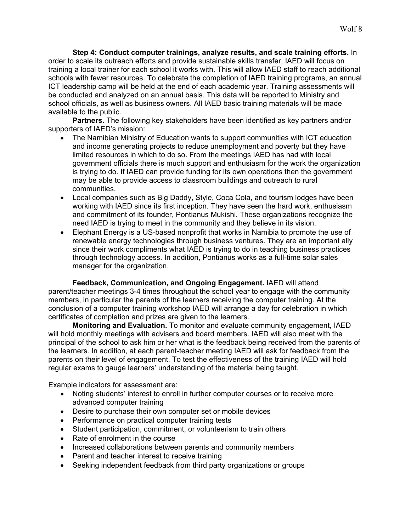**Step 4: Conduct computer trainings, analyze results, and scale training efforts.** In order to scale its outreach efforts and provide sustainable skills transfer, IAED will focus on training a local trainer for each school it works with. This will allow IAED staff to reach additional schools with fewer resources. To celebrate the completion of IAED training programs, an annual ICT leadership camp will be held at the end of each academic year. Training assessments will be conducted and analyzed on an annual basis. This data will be reported to Ministry and school officials, as well as business owners. All IAED basic training materials will be made available to the public.

**Partners.** The following key stakeholders have been identified as key partners and/or supporters of IAED's mission:

- The Namibian Ministry of Education wants to support communities with ICT education and income generating projects to reduce unemployment and poverty but they have limited resources in which to do so. From the meetings IAED has had with local government officials there is much support and enthusiasm for the work the organization is trying to do. If IAED can provide funding for its own operations then the government may be able to provide access to classroom buildings and outreach to rural communities.
- Local companies such as Big Daddy, Style, Coca Cola, and tourism lodges have been working with IAED since its first inception. They have seen the hard work, enthusiasm and commitment of its founder, Pontianus Mukishi. These organizations recognize the need IAED is trying to meet in the community and they believe in its vision.
- Elephant Energy is a US-based nonprofit that works in Namibia to promote the use of renewable energy technologies through business ventures. They are an important ally since their work compliments what IAED is trying to do in teaching business practices through technology access. In addition, Pontianus works as a full-time solar sales manager for the organization.

**Feedback, Communication, and Ongoing Engagement.** IAED will attend parent/teacher meetings 3-4 times throughout the school year to engage with the community members, in particular the parents of the learners receiving the computer training. At the conclusion of a computer training workshop IAED will arrange a day for celebration in which certificates of completion and prizes are given to the learners.

**Monitoring and Evaluation.** To monitor and evaluate community engagement, IAED will hold monthly meetings with advisers and board members. IAED will also meet with the principal of the school to ask him or her what is the feedback being received from the parents of the learners. In addition, at each parent-teacher meeting IAED will ask for feedback from the parents on their level of engagement. To test the effectiveness of the training IAED will hold regular exams to gauge learners' understanding of the material being taught.

Example indicators for assessment are:

- Noting students' interest to enroll in further computer courses or to receive more advanced computer training
- Desire to purchase their own computer set or mobile devices
- Performance on practical computer training tests
- Student participation, commitment, or volunteerism to train others
- Rate of enrolment in the course
- Increased collaborations between parents and community members
- Parent and teacher interest to receive training
- Seeking independent feedback from third party organizations or groups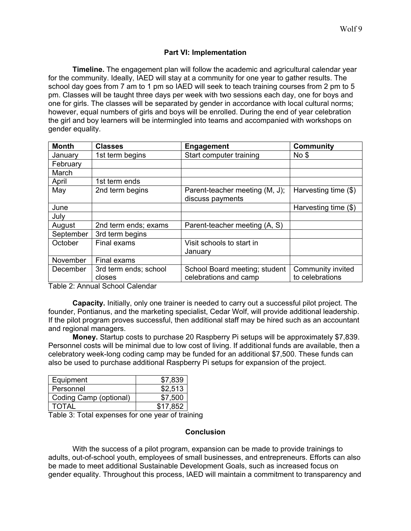### **Part VI: Implementation**

**Timeline.** The engagement plan will follow the academic and agricultural calendar year for the community. Ideally, IAED will stay at a community for one year to gather results. The school day goes from 7 am to 1 pm so IAED will seek to teach training courses from 2 pm to 5 pm. Classes will be taught three days per week with two sessions each day, one for boys and one for girls. The classes will be separated by gender in accordance with local cultural norms; however, equal numbers of girls and boys will be enrolled. During the end of year celebration the girl and boy learners will be intermingled into teams and accompanied with workshops on gender equality.

| <b>Month</b> | <b>Classes</b>        | <b>Engagement</b>              | <b>Community</b>     |
|--------------|-----------------------|--------------------------------|----------------------|
| January      | 1st term begins       | Start computer training        | No <sub>3</sub>      |
| February     |                       |                                |                      |
| March        |                       |                                |                      |
| April        | 1st term ends         |                                |                      |
| May          | 2nd term begins       | Parent-teacher meeting (M, J); | Harvesting time (\$) |
|              |                       | discuss payments               |                      |
| June         |                       |                                | Harvesting time (\$) |
| July         |                       |                                |                      |
| August       | 2nd term ends; exams  | Parent-teacher meeting (A, S)  |                      |
| September    | 3rd term begins       |                                |                      |
| October      | Final exams           | Visit schools to start in      |                      |
|              |                       | January                        |                      |
| November     | Final exams           |                                |                      |
| December     | 3rd term ends; school | School Board meeting; student  | Community invited    |
|              | closes                | celebrations and camp          | to celebrations      |

Table 2: Annual School Calendar

**Capacity.** Initially, only one trainer is needed to carry out a successful pilot project. The founder, Pontianus, and the marketing specialist, Cedar Wolf, will provide additional leadership. If the pilot program proves successful, then additional staff may be hired such as an accountant and regional managers.

**Money.** Startup costs to purchase 20 Raspberry Pi setups will be approximately \$7,839. Personnel costs will be minimal due to low cost of living. If additional funds are available, then a celebratory week-long coding camp may be funded for an additional \$7,500. These funds can also be used to purchase additional Raspberry Pi setups for expansion of the project.

| Equipment              | \$7,839  |
|------------------------|----------|
| Personnel              | \$2,513  |
| Coding Camp (optional) | \$7,500  |
| TOTAL                  | \$17.852 |

Table 3: Total expenses for one year of training

#### **Conclusion**

With the success of a pilot program, expansion can be made to provide trainings to adults, out-of-school youth, employees of small businesses, and entrepreneurs. Efforts can also be made to meet additional Sustainable Development Goals, such as increased focus on gender equality. Throughout this process, IAED will maintain a commitment to transparency and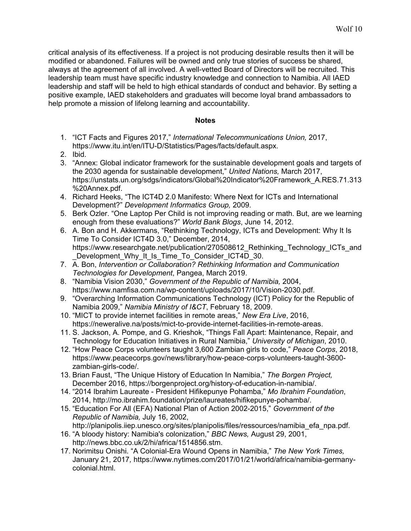critical analysis of its effectiveness. If a project is not producing desirable results then it will be modified or abandoned. Failures will be owned and only true stories of success be shared, always at the agreement of all involved. A well-vetted Board of Directors will be recruited. This leadership team must have specific industry knowledge and connection to Namibia. All IAED leadership and staff will be held to high ethical standards of conduct and behavior. By setting a positive example, IAED stakeholders and graduates will become loyal brand ambassadors to help promote a mission of lifelong learning and accountability.

#### **Notes**

- 1. "ICT Facts and Figures 2017," *International Telecommunications Union,* 2017, https://www.itu.int/en/ITU-D/Statistics/Pages/facts/default.aspx.
- 2. Ibid.
- 3. "Annex: Global indicator framework for the sustainable development goals and targets of the 2030 agenda for sustainable development," *United Nations,* March 2017, https://unstats.un.org/sdgs/indicators/Global%20Indicator%20Framework\_A.RES.71.313 %20Annex.pdf.
- 4. Richard Heeks, "The ICT4D 2.0 Manifesto: Where Next for ICTs and International Development?" *Development Informatics Group,* 2009.
- 5. Berk Ozler. "One Laptop Per Child is not improving reading or math. But, are we learning enough from these evaluations?" *World Bank Blogs*, June 14, 2012.
- 6. A. Bon and H. Akkermans, "Rethinking Technology, ICTs and Development: Why It Is Time To Consider ICT4D 3.0," December, 2014, https://www.researchgate.net/publication/270508612 Rethinking\_Technology\_ICTs\_and Development Why It Is Time To Consider ICT4D 30.
- 7. A. Bon, *Intervention or Collaboration? Rethinking Information and Communication Technologies for Development*, Pangea, March 2019.
- 8. "Namibia Vision 2030," *Government of the Republic of Namibia,* 2004, https://www.namfisa.com.na/wp-content/uploads/2017/10/Vision-2030.pdf.
- 9. "Overarching Information Communications Technology (ICT) Policy for the Republic of Namibia 2009," *Namibia Ministry of I&CT*, February 18, 2009.
- 10. "MICT to provide internet facilities in remote areas," *New Era Live*, 2016, https://neweralive.na/posts/mict-to-provide-internet-facilities-in-remote-areas.
- 11. S. Jackson, A. Pompe, and G. Krieshok, "Things Fall Apart: Maintenance, Repair, and Technology for Education Initiatives in Rural Namibia," *University of Michigan*, 2010.
- 12. "How Peace Corps volunteers taught 3,600 Zambian girls to code," *Peace Corps*, 2018, https://www.peacecorps.gov/news/library/how-peace-corps-volunteers-taught-3600 zambian-girls-code/.
- 13. Brian Faust, "The Unique History of Education In Namibia," *The Borgen Project,*  December 2016, https://borgenproject.org/history-of-education-in-namibia/.
- 14. "2014 Ibrahim Laureate President Hifikepunye Pohamba," *Mo Ibrahim Foundation*, 2014, http://mo.ibrahim.foundation/prize/laureates/hifikepunye-pohamba/.
- 15. "Education For All (EFA) National Plan of Action 2002-2015," *Government of the Republic of Namibia,* July 16, 2002,
	- http://planipolis.iiep.unesco.org/sites/planipolis/files/ressources/namibia efa npa.pdf.
- 16. "A bloody history: Namibia's colonization," *BBC News,* August 29, 2001, http://news.bbc.co.uk/2/hi/africa/1514856.stm.
- 17. Norimitsu Onishi. "A Colonial-Era Wound Opens in Namibia," *The New York Times,*  January 21, 2017*,* https://www.nytimes.com/2017/01/21/world/africa/namibia-germanycolonial.html.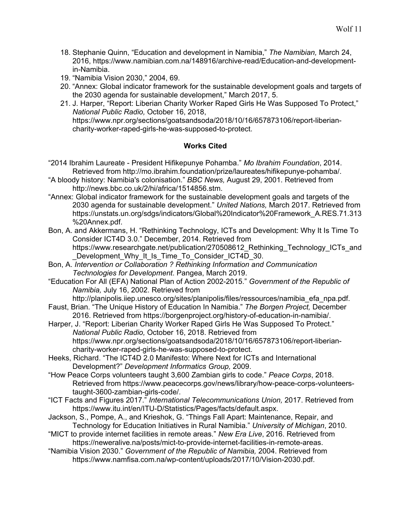- 18. Stephanie Quinn, "Education and development in Namibia," *The Namibian,* March 24, 2016, https://www.namibian.com.na/148916/archive-read/Education-and-developmentin-Namibia.
- 19. "Namibia Vision 2030," 2004, 69.
- 20. "Annex: Global indicator framework for the sustainable development goals and targets of the 2030 agenda for sustainable development," March 2017, 5.
- 21. J. Harper, "Report: Liberian Charity Worker Raped Girls He Was Supposed To Protect," *National Public Radio,* October 16, 2018, https://www.npr.org/sections/goatsandsoda/2018/10/16/657873106/report-liberiancharity-worker-raped-girls-he-was-supposed-to-protect.

# **Works Cited**

- "2014 Ibrahim Laureate President Hifikepunye Pohamba." *Mo Ibrahim Foundation*, 2014. Retrieved from http://mo.ibrahim.foundation/prize/laureates/hifikepunye-pohamba/.
- "A bloody history: Namibia's colonisation." *BBC News,* August 29, 2001. Retrieved from http://news.bbc.co.uk/2/hi/africa/1514856.stm.
- "Annex: Global indicator framework for the sustainable development goals and targets of the 2030 agenda for sustainable development." *United Nations,* March 2017. Retrieved from https://unstats.un.org/sdgs/indicators/Global%20Indicator%20Framework\_A.RES.71.313 %20Annex.pdf.
- Bon, A. and Akkermans, H. "Rethinking Technology, ICTs and Development: Why It Is Time To Consider ICT4D 3.0." December, 2014. Retrieved from https://www.researchgate.net/publication/270508612 Rethinking Technology ICTs and Development Why It Is Time To Consider ICT4D 30.
- Bon, A. *Intervention or Collaboration ? Rethinking Information and Communication Technologies for Development*. Pangea, March 2019.
- "Education For All (EFA) National Plan of Action 2002-2015." *Government of the Republic of Namibia,* July 16, 2002. Retrieved from

http://planipolis.iiep.unesco.org/sites/planipolis/files/ressources/namibia efa npa.pdf.

- Faust, Brian. "The Unique History of Education In Namibia." *The Borgen Project,* December 2016. Retrieved from https://borgenproject.org/history-of-education-in-namibia/.
- Harper, J. "Report: Liberian Charity Worker Raped Girls He Was Supposed To Protect." *National Public Radio,* October 16, 2018. Retrieved from https://www.npr.org/sections/goatsandsoda/2018/10/16/657873106/report-liberiancharity-worker-raped-girls-he-was-supposed-to-protect.
- Heeks, Richard. "The ICT4D 2.0 Manifesto: Where Next for ICTs and International Development?" *Development Informatics Group,* 2009.
- "How Peace Corps volunteers taught 3,600 Zambian girls to code." *Peace Corps*, 2018. Retrieved from https://www.peacecorps.gov/news/library/how-peace-corps-volunteerstaught-3600-zambian-girls-code/.
- "ICT Facts and Figures 2017." *International Telecommunications Union,* 2017. Retrieved from https://www.itu.int/en/ITU-D/Statistics/Pages/facts/default.aspx.
- Jackson, S., Pompe, A., and Krieshok, G. "Things Fall Apart: Maintenance, Repair, and Technology for Education Initiatives in Rural Namibia." *University of Michigan*, 2010.
- "MICT to provide internet facilities in remote areas." *New Era Live*, 2016. Retrieved from https://neweralive.na/posts/mict-to-provide-internet-facilities-in-remote-areas.
- "Namibia Vision 2030." *Government of the Republic of Namibia,* 2004. Retrieved from https://www.namfisa.com.na/wp-content/uploads/2017/10/Vision-2030.pdf.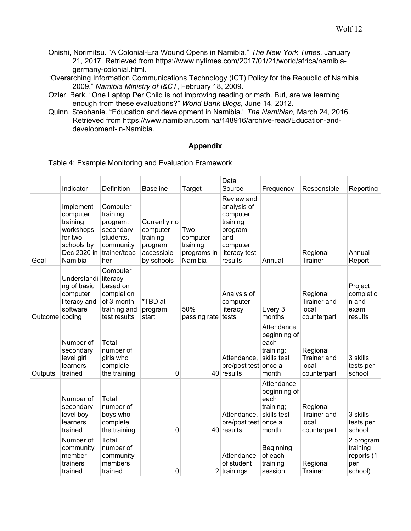- Onishi, Norimitsu. "A Colonial-Era Wound Opens in Namibia." *The New York Times,* January 21, 2017*.* Retrieved from https://www.nytimes.com/2017/01/21/world/africa/namibiagermany-colonial.html.
- "Overarching Information Communications Technology (ICT) Policy for the Republic of Namibia 2009." *Namibia Ministry of I&CT*, February 18, 2009.
- Ozler, Berk. "One Laptop Per Child is not improving reading or math. But, are we learning enough from these evaluations?" *World Bank Blogs*, June 14, 2012.
- Quinn, Stephanie. "Education and development in Namibia." *The Namibian,* March 24, 2016. Retrieved from https://www.namibian.com.na/148916/archive-read/Education-anddevelopment-in-Namibia.

# **Appendix**

|  |  | Table 4: Example Monitoring and Evaluation Framework |
|--|--|------------------------------------------------------|
|  |  |                                                      |

|                | Indicator                                                                                         | Definition                                                                                     | <b>Baseline</b>                                                             | Target                                                | Data<br>Source                                                                                              | Frequency                                                               | Responsible                                            | Reporting                                             |
|----------------|---------------------------------------------------------------------------------------------------|------------------------------------------------------------------------------------------------|-----------------------------------------------------------------------------|-------------------------------------------------------|-------------------------------------------------------------------------------------------------------------|-------------------------------------------------------------------------|--------------------------------------------------------|-------------------------------------------------------|
| Goal           | Implement<br>computer<br>training<br>workshops<br>for two<br>schools by<br>Dec 2020 in<br>Namibia | Computer<br>training<br>program:<br>secondary<br>students,<br>community<br>trainer/teac<br>her | Currently no<br>computer<br>training<br>program<br>accessible<br>by schools | Two<br>computer<br>training<br>programs in<br>Namibia | Review and<br>analysis of<br>computer<br>training<br>program<br>and<br>computer<br>literacy test<br>results | Annual                                                                  | Regional<br>Trainer                                    | Annual<br>Report                                      |
| Outcome coding | Understandi<br>ng of basic<br>computer<br>literacy and<br>software                                | Computer<br>literacy<br>based on<br>completion<br>of 3-month<br>training and<br>test results   | *TBD at<br>program<br>start                                                 | 50%<br>passing rate tests                             | Analysis of<br>computer<br>literacy                                                                         | Every 3<br>months                                                       | Regional<br><b>Trainer</b> and<br>local<br>counterpart | Project<br>completio<br>n and<br>exam<br>results      |
| Outputs        | Number of<br>secondary<br>level girl<br>learners<br>trained                                       | Total<br>number of<br>girls who<br>complete<br>the training                                    | $\mathbf{0}$                                                                |                                                       | Attendance,<br>pre/post test once a<br>$40$ results                                                         | Attendance<br>beginning of<br>each<br>training;<br>skills test<br>month | Regional<br><b>Trainer</b> and<br>local<br>counterpart | 3 skills<br>tests per<br>school                       |
|                | Number of<br>secondary<br>level boy<br>learners<br>trained                                        | Total<br>number of<br>boys who<br>complete<br>the training                                     | 0                                                                           |                                                       | Attendance,<br>pre/post test once a<br>$40$ results                                                         | Attendance<br>beginning of<br>each<br>training;<br>skills test<br>month | Regional<br><b>Trainer and</b><br>local<br>counterpart | 3 skills<br>tests per<br>school                       |
|                | Number of<br>community<br>member<br>trainers<br>trained                                           | Total<br>number of<br>community<br>members<br>trained                                          | 0                                                                           |                                                       | Attendance<br>of student<br>$2$ trainings                                                                   | Beginning<br>of each<br>training<br>session                             | Regional<br>Trainer                                    | 2 program<br>training<br>reports (1<br>per<br>school) |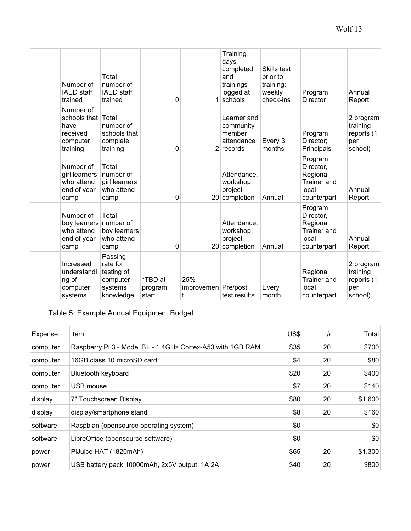| Number of<br><b>IAED</b> staff<br>trained                                | Total<br>number of<br><b>IAED</b> staff<br>trained                    | 0                           |                                   | Training<br>days<br>completed<br>and<br>trainings<br>logged at<br>schools | Skills test<br>prior to<br>training;<br>weekly<br>check-ins | Program<br><b>Director</b>                                                     | Annual<br>Report                                      |
|--------------------------------------------------------------------------|-----------------------------------------------------------------------|-----------------------------|-----------------------------------|---------------------------------------------------------------------------|-------------------------------------------------------------|--------------------------------------------------------------------------------|-------------------------------------------------------|
| Number of<br>schools that<br>have<br>received<br>computer<br>training    | Total<br>number of<br>schools that<br>complete<br>training            | 0                           |                                   | Learner and<br>community<br>member<br>attendance<br>$2$ records           | Every 3<br>months                                           | Program<br>Director:<br>Principals                                             | 2 program<br>training<br>reports (1<br>per<br>school) |
| Number of<br>girl learners<br>who attend<br>end of year<br>camp          | Total<br>number of<br>girl learners<br>who attend<br>camp             | 0                           |                                   | Attendance,<br>workshop<br>project<br>20 completion                       | Annual                                                      | Program<br>Director,<br>Regional<br><b>Trainer</b> and<br>local<br>counterpart | Annual<br>Report                                      |
| Number of<br>boy learners number of<br>who attend<br>end of year<br>camp | Total<br>boy learners<br>who attend<br>camp                           | 0                           |                                   | Attendance,<br>workshop<br>project<br>20 completion                       | Annual                                                      | Program<br>Director,<br>Regional<br><b>Trainer</b> and<br>local<br>counterpart | Annual<br>Report                                      |
| Increased<br>understandi<br>ng of<br>computer<br>systems                 | Passing<br>rate for<br>testing of<br>computer<br>systems<br>knowledge | *TBD at<br>program<br>start | 25%<br>improvemen   Pre/post<br>t | test results                                                              | Every<br>month                                              | Regional<br>Trainer and<br>local<br>counterpart                                | 2 program<br>training<br>reports (1<br>per<br>school) |

# Table 5: Example Annual Equipment Budget

| Expense  | Item                                                       | US\$ | #  | Total   |
|----------|------------------------------------------------------------|------|----|---------|
| computer | Raspberry Pi 3 - Model B+ - 1.4GHz Cortex-A53 with 1GB RAM | \$35 | 20 | \$700   |
| computer | 16GB class 10 microSD card                                 | \$4  | 20 | \$80    |
| computer | <b>Bluetooth keyboard</b>                                  | \$20 | 20 | \$400   |
| computer | USB mouse                                                  | \$7  | 20 | \$140   |
| display  | 7" Touchscreen Display                                     | \$80 | 20 | \$1,600 |
| display  | display/smartphone stand                                   | \$8  | 20 | \$160   |
| software | Raspbian (opensource operating system)                     | \$0  |    | \$0     |
| software | LibreOffice (opensource software)                          | \$0  |    | \$0     |
| power    | PiJuice HAT (1820mAh)                                      | \$65 | 20 | \$1,300 |
| power    | USB battery pack 10000mAh, 2x5V output, 1A 2A              | \$40 | 20 | \$800   |